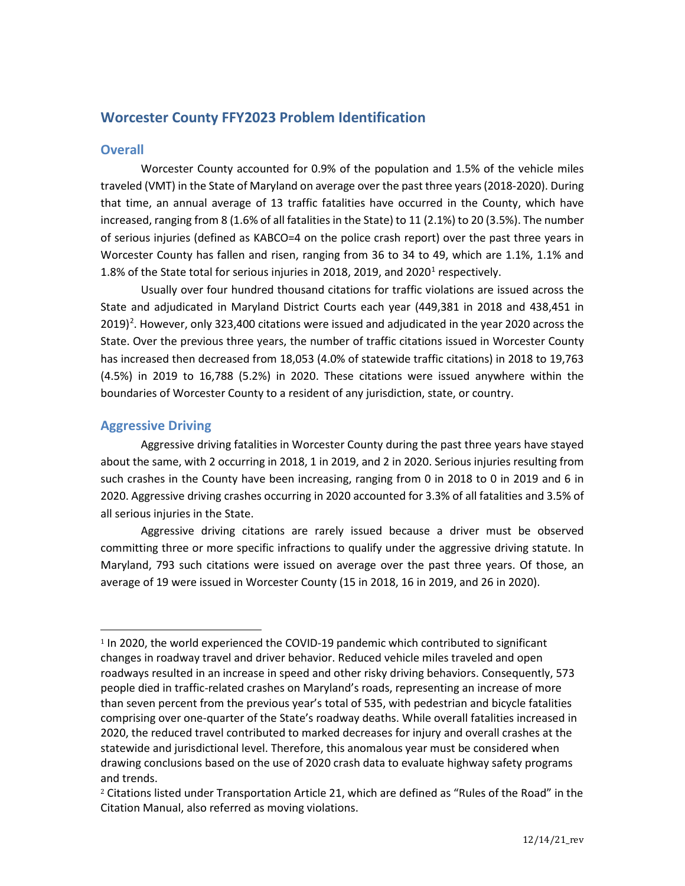# **Worcester County FFY2023 Problem Identification**

## **Overall**

Worcester County accounted for 0.9% of the population and 1.5% of the vehicle miles traveled (VMT) in the State of Maryland on average over the past three years (2018-2020). During that time, an annual average of 13 traffic fatalities have occurred in the County, which have increased, ranging from 8 (1.6% of all fatalities in the State) to 11 (2.1%) to 20 (3.5%). The number of serious injuries (defined as KABCO=4 on the police crash report) over the past three years in Worcester County has fallen and risen, ranging from 36 to 34 to 49, which are 1.1%, 1.1% and [1](#page-0-0).8% of the State total for serious injuries in 2018, 2019, and 2020<sup>1</sup> respectively.

Usually over four hundred thousand citations for traffic violations are issued across the State and adjudicated in Maryland District Courts each year (449,381 in 2018 and 438,451 in [2](#page-0-1)019)<sup>2</sup>. However, only 323,400 citations were issued and adjudicated in the year 2020 across the State. Over the previous three years, the number of traffic citations issued in Worcester County has increased then decreased from 18,053 (4.0% of statewide traffic citations) in 2018 to 19,763 (4.5%) in 2019 to 16,788 (5.2%) in 2020. These citations were issued anywhere within the boundaries of Worcester County to a resident of any jurisdiction, state, or country.

## **Aggressive Driving**

Aggressive driving fatalities in Worcester County during the past three years have stayed about the same, with 2 occurring in 2018, 1 in 2019, and 2 in 2020. Serious injuries resulting from such crashes in the County have been increasing, ranging from 0 in 2018 to 0 in 2019 and 6 in 2020. Aggressive driving crashes occurring in 2020 accounted for 3.3% of all fatalities and 3.5% of all serious injuries in the State.

Aggressive driving citations are rarely issued because a driver must be observed committing three or more specific infractions to qualify under the aggressive driving statute. In Maryland, 793 such citations were issued on average over the past three years. Of those, an average of 19 were issued in Worcester County (15 in 2018, 16 in 2019, and 26 in 2020).

<span id="page-0-0"></span><sup>1</sup> In 2020, the world experienced the COVID-19 pandemic which contributed to significant changes in roadway travel and driver behavior. Reduced vehicle miles traveled and open roadways resulted in an increase in speed and other risky driving behaviors. Consequently, 573 people died in traffic-related crashes on Maryland's roads, representing an increase of more than seven percent from the previous year's total of 535, with pedestrian and bicycle fatalities comprising over one-quarter of the State's roadway deaths. While overall fatalities increased in 2020, the reduced travel contributed to marked decreases for injury and overall crashes at the statewide and jurisdictional level. Therefore, this anomalous year must be considered when drawing conclusions based on the use of 2020 crash data to evaluate highway safety programs and trends.

<span id="page-0-1"></span><sup>&</sup>lt;sup>2</sup> Citations listed under Transportation Article 21, which are defined as "Rules of the Road" in the Citation Manual, also referred as moving violations.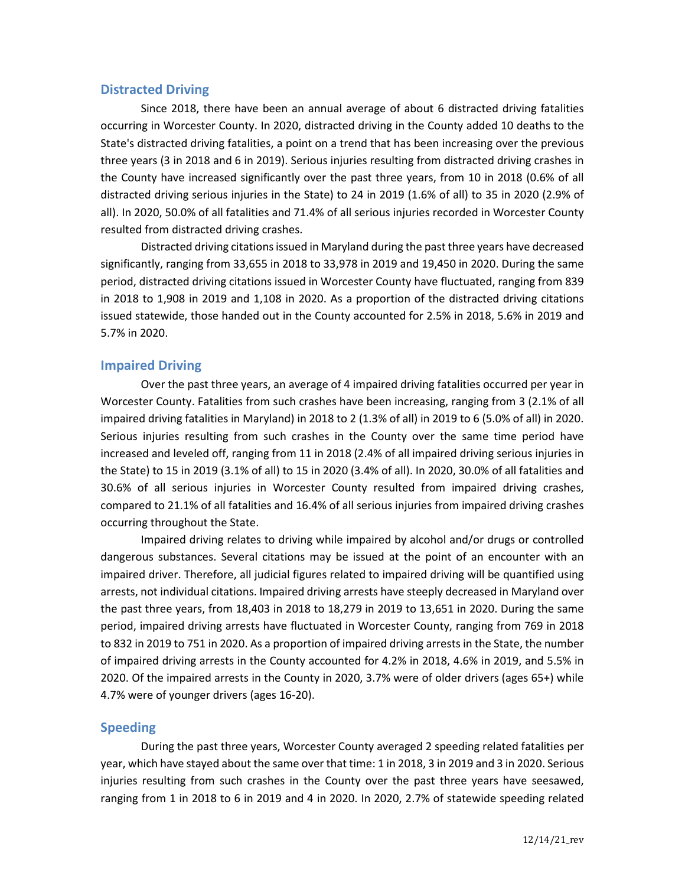### **Distracted Driving**

Since 2018, there have been an annual average of about 6 distracted driving fatalities occurring in Worcester County. In 2020, distracted driving in the County added 10 deaths to the State's distracted driving fatalities, a point on a trend that has been increasing over the previous three years (3 in 2018 and 6 in 2019). Serious injuries resulting from distracted driving crashes in the County have increased significantly over the past three years, from 10 in 2018 (0.6% of all distracted driving serious injuries in the State) to 24 in 2019 (1.6% of all) to 35 in 2020 (2.9% of all). In 2020, 50.0% of all fatalities and 71.4% of all serious injuries recorded in Worcester County resulted from distracted driving crashes.

Distracted driving citations issued in Maryland during the past three years have decreased significantly, ranging from 33,655 in 2018 to 33,978 in 2019 and 19,450 in 2020. During the same period, distracted driving citations issued in Worcester County have fluctuated, ranging from 839 in 2018 to 1,908 in 2019 and 1,108 in 2020. As a proportion of the distracted driving citations issued statewide, those handed out in the County accounted for 2.5% in 2018, 5.6% in 2019 and 5.7% in 2020.

## **Impaired Driving**

Over the past three years, an average of 4 impaired driving fatalities occurred per year in Worcester County. Fatalities from such crashes have been increasing, ranging from 3 (2.1% of all impaired driving fatalities in Maryland) in 2018 to 2 (1.3% of all) in 2019 to 6 (5.0% of all) in 2020. Serious injuries resulting from such crashes in the County over the same time period have increased and leveled off, ranging from 11 in 2018 (2.4% of all impaired driving serious injuries in the State) to 15 in 2019 (3.1% of all) to 15 in 2020 (3.4% of all). In 2020, 30.0% of all fatalities and 30.6% of all serious injuries in Worcester County resulted from impaired driving crashes, compared to 21.1% of all fatalities and 16.4% of all serious injuries from impaired driving crashes occurring throughout the State.

Impaired driving relates to driving while impaired by alcohol and/or drugs or controlled dangerous substances. Several citations may be issued at the point of an encounter with an impaired driver. Therefore, all judicial figures related to impaired driving will be quantified using arrests, not individual citations. Impaired driving arrests have steeply decreased in Maryland over the past three years, from 18,403 in 2018 to 18,279 in 2019 to 13,651 in 2020. During the same period, impaired driving arrests have fluctuated in Worcester County, ranging from 769 in 2018 to 832 in 2019 to 751 in 2020. As a proportion of impaired driving arrests in the State, the number of impaired driving arrests in the County accounted for 4.2% in 2018, 4.6% in 2019, and 5.5% in 2020. Of the impaired arrests in the County in 2020, 3.7% were of older drivers (ages 65+) while 4.7% were of younger drivers (ages 16-20).

## **Speeding**

During the past three years, Worcester County averaged 2 speeding related fatalities per year, which have stayed about the same over that time: 1 in 2018, 3 in 2019 and 3 in 2020. Serious injuries resulting from such crashes in the County over the past three years have seesawed, ranging from 1 in 2018 to 6 in 2019 and 4 in 2020. In 2020, 2.7% of statewide speeding related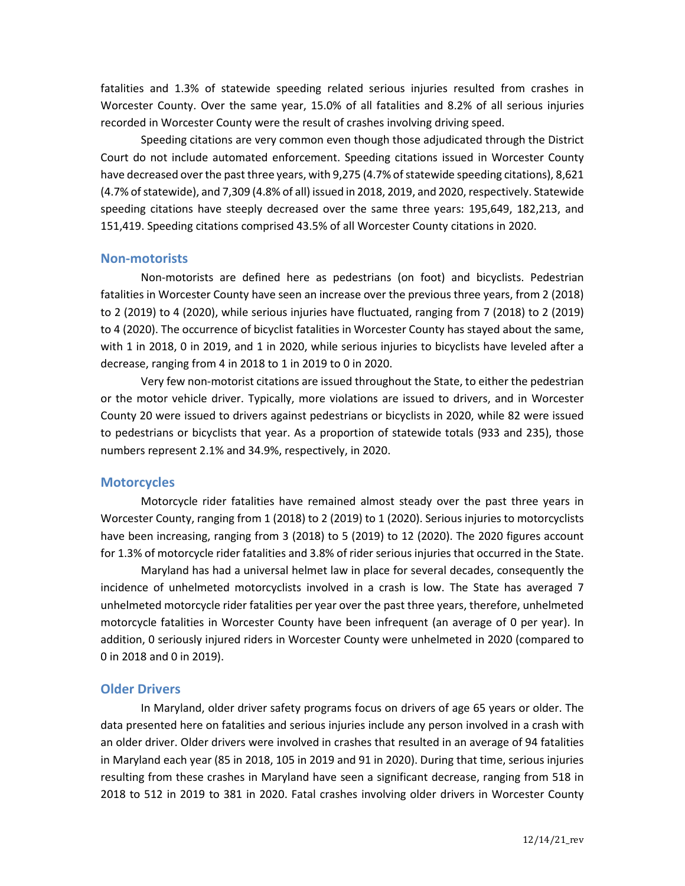fatalities and 1.3% of statewide speeding related serious injuries resulted from crashes in Worcester County. Over the same year, 15.0% of all fatalities and 8.2% of all serious injuries recorded in Worcester County were the result of crashes involving driving speed.

Speeding citations are very common even though those adjudicated through the District Court do not include automated enforcement. Speeding citations issued in Worcester County have decreased over the past three years, with 9,275 (4.7% of statewide speeding citations), 8,621 (4.7% of statewide), and 7,309 (4.8% of all) issued in 2018, 2019, and 2020, respectively. Statewide speeding citations have steeply decreased over the same three years: 195,649, 182,213, and 151,419. Speeding citations comprised 43.5% of all Worcester County citations in 2020.

#### **Non-motorists**

Non-motorists are defined here as pedestrians (on foot) and bicyclists. Pedestrian fatalities in Worcester County have seen an increase over the previous three years, from 2 (2018) to 2 (2019) to 4 (2020), while serious injuries have fluctuated, ranging from 7 (2018) to 2 (2019) to 4 (2020). The occurrence of bicyclist fatalities in Worcester County has stayed about the same, with 1 in 2018, 0 in 2019, and 1 in 2020, while serious injuries to bicyclists have leveled after a decrease, ranging from 4 in 2018 to 1 in 2019 to 0 in 2020.

Very few non-motorist citations are issued throughout the State, to either the pedestrian or the motor vehicle driver. Typically, more violations are issued to drivers, and in Worcester County 20 were issued to drivers against pedestrians or bicyclists in 2020, while 82 were issued to pedestrians or bicyclists that year. As a proportion of statewide totals (933 and 235), those numbers represent 2.1% and 34.9%, respectively, in 2020.

### **Motorcycles**

Motorcycle rider fatalities have remained almost steady over the past three years in Worcester County, ranging from 1 (2018) to 2 (2019) to 1 (2020). Serious injuries to motorcyclists have been increasing, ranging from 3 (2018) to 5 (2019) to 12 (2020). The 2020 figures account for 1.3% of motorcycle rider fatalities and 3.8% of rider serious injuries that occurred in the State.

Maryland has had a universal helmet law in place for several decades, consequently the incidence of unhelmeted motorcyclists involved in a crash is low. The State has averaged 7 unhelmeted motorcycle rider fatalities per year over the past three years, therefore, unhelmeted motorcycle fatalities in Worcester County have been infrequent (an average of 0 per year). In addition, 0 seriously injured riders in Worcester County were unhelmeted in 2020 (compared to 0 in 2018 and 0 in 2019).

### **Older Drivers**

In Maryland, older driver safety programs focus on drivers of age 65 years or older. The data presented here on fatalities and serious injuries include any person involved in a crash with an older driver. Older drivers were involved in crashes that resulted in an average of 94 fatalities in Maryland each year (85 in 2018, 105 in 2019 and 91 in 2020). During that time, serious injuries resulting from these crashes in Maryland have seen a significant decrease, ranging from 518 in 2018 to 512 in 2019 to 381 in 2020. Fatal crashes involving older drivers in Worcester County